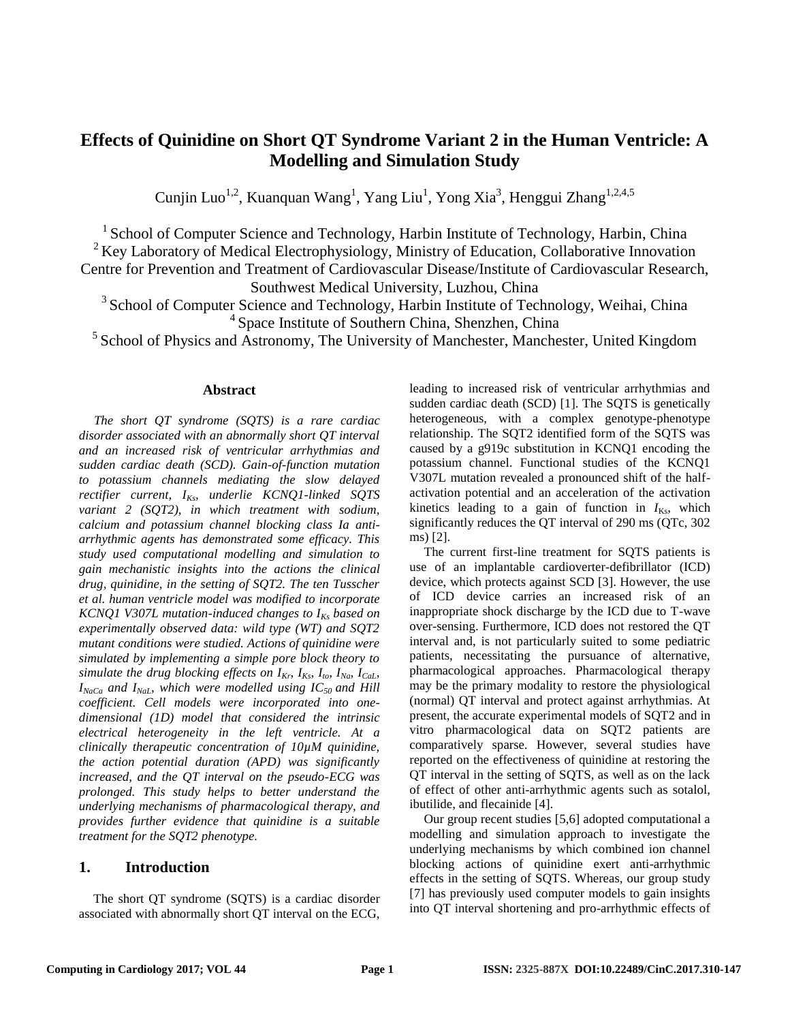# **Effects of Quinidine on Short QT Syndrome Variant 2 in the Human Ventricle: A Modelling and Simulation Study**

Cunjin Luo<sup>1,2</sup>, Kuanquan Wang<sup>1</sup>, Yang Liu<sup>1</sup>, Yong Xia<sup>3</sup>, Henggui Zhang<sup>1,2,4,5</sup>

<sup>1</sup> School of Computer Science and Technology, Harbin Institute of Technology, Harbin, China  $2$  Key Laboratory of Medical Electrophysiology, Ministry of Education, Collaborative Innovation Centre for Prevention and Treatment of Cardiovascular Disease/Institute of Cardiovascular Research, Southwest Medical University, Luzhou, China

<sup>3</sup> School of Computer Science and Technology, Harbin Institute of Technology, Weihai, China <sup>4</sup> Space Institute of Southern China, Shenzhen, China

 $<sup>5</sup>$  School of Physics and Astronomy, The University of Manchester, Manchester, United Kingdom</sup>

## **Abstract**

*The short QT syndrome (SQTS) is a rare cardiac disorder associated with an abnormally short QT interval and an increased risk of ventricular arrhythmias and sudden cardiac death (SCD). Gain-of-function mutation to potassium channels mediating the slow delayed rectifier current, IKs, underlie KCNQ1-linked SQTS variant 2 (SQT2), in which treatment with sodium, calcium and potassium channel blocking class Ia antiarrhythmic agents has demonstrated some efficacy. This study used computational modelling and simulation to gain mechanistic insights into the actions the clinical drug, quinidine, in the setting of SQT2. The ten Tusscher et al. human ventricle model was modified to incorporate KCNQ1 V307L mutation-induced changes to IKs based on experimentally observed data: wild type (WT) and SQT2 mutant conditions were studied. Actions of quinidine were simulated by implementing a simple pore block theory to simulate the drug blocking effects on*  $I_{Kr}$ *,*  $I_{Ks}$ *,*  $I_{to}$ *,*  $I_{Na}$ *,*  $I_{Cal}$ *,*  $I_{NaCa}$  *and*  $I_{NaL}$ *, which were modelled using IC<sub>50</sub> and Hill coefficient. Cell models were incorporated into onedimensional (1D) model that considered the intrinsic electrical heterogeneity in the left ventricle. At a clinically therapeutic concentration of 10µM quinidine, the action potential duration (APD) was significantly increased, and the QT interval on the pseudo-ECG was prolonged. This study helps to better understand the underlying mechanisms of pharmacological therapy, and provides further evidence that quinidine is a suitable treatment for the SQT2 phenotype.*

# **1. Introduction**

The short QT syndrome (SQTS) is a cardiac disorder associated with abnormally short QT interval on the ECG, leading to increased risk of ventricular arrhythmias and sudden cardiac death (SCD) [\[1\]](#page-3-0). The SQTS is genetically heterogeneous, with a complex genotype-phenotype relationship. The SQT2 identified form of the SQTS was caused by a g919c substitution in KCNQ1 encoding the potassium channel. Functional studies of the KCNQ1 V307L mutation revealed a pronounced shift of the halfactivation potential and an acceleration of the activation kinetics leading to a gain of function in  $I_{Ks}$ , which significantly reduces the QT interval of 290 ms (QTc, 302 ms) [\[2\]](#page-3-1).

The current first-line treatment for SQTS patients is use of an implantable cardioverter-defibrillator (ICD) device, which protects against SCD [\[3\]](#page-3-2). However, the use of ICD device carries an increased risk of an inappropriate shock discharge by the ICD due to T-wave over-sensing. Furthermore, ICD does not restored the QT interval and, is not particularly suited to some pediatric patients, necessitating the pursuance of alternative, pharmacological approaches. Pharmacological therapy may be the primary modality to restore the physiological (normal) QT interval and protect against arrhythmias. At present, the accurate experimental models of SQT2 and in vitro pharmacological data on SQT2 patients are comparatively sparse. However, several studies have reported on the effectiveness of quinidine at restoring the QT interval in the setting of SQTS, as well as on the lack of effect of other anti-arrhythmic agents such as sotalol, ibutilide, and flecainide [\[4\]](#page-3-3).

Our group recent studies [\[5,](#page-3-4)[6\]](#page-3-5) adopted computational a modelling and simulation approach to investigate the underlying mechanisms by which combined ion channel blocking actions of quinidine exert anti-arrhythmic effects in the setting of SQTS. Whereas, our group study [\[7\]](#page-3-6) has previously used computer models to gain insights into QT interval shortening and pro-arrhythmic effects of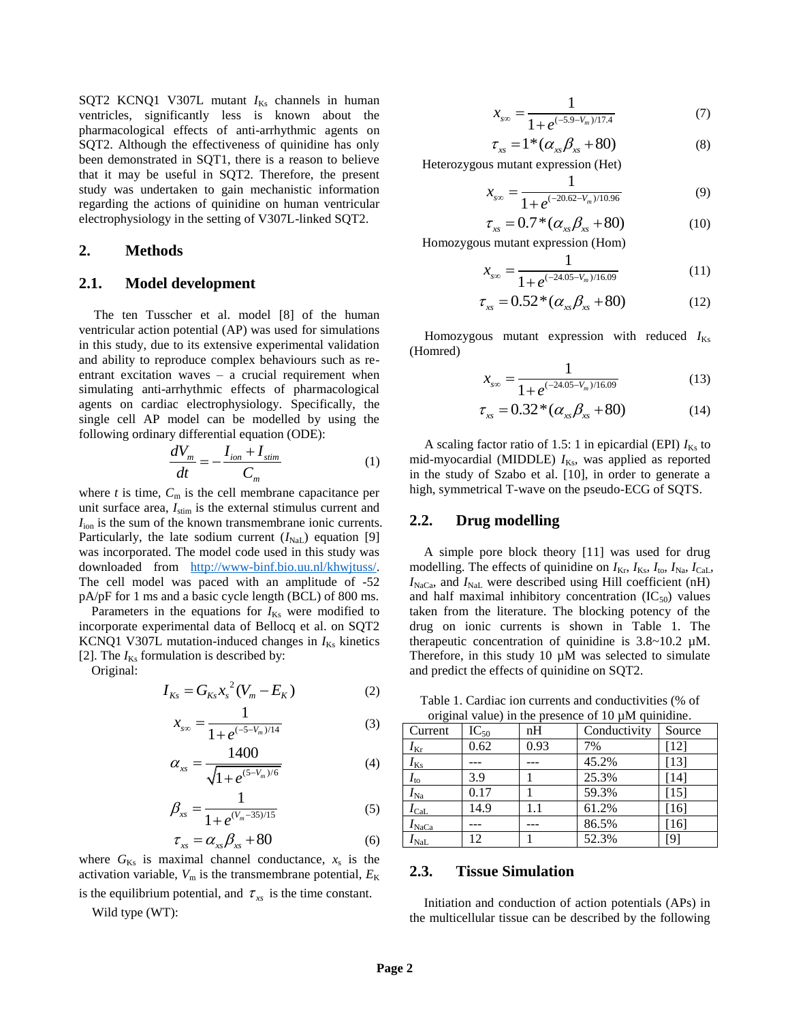SQT2 KCNQ1 V307L mutant  $I_{Ks}$  channels in human ventricles, significantly less is known about the pharmacological effects of anti-arrhythmic agents on SQT2. Although the effectiveness of quinidine has only been demonstrated in SQT1, there is a reason to believe that it may be useful in SQT2. Therefore, the present study was undertaken to gain mechanistic information regarding the actions of quinidine on human ventricular electrophysiology in the setting of V307L-linked SQT2.

# **2. Methods**

# **2.1. Model development**

The ten Tusscher et al. model [\[8\]](#page-3-7) of the human ventricular action potential (AP) was used for simulations in this study, due to its extensive experimental validation and ability to reproduce complex behaviours such as reentrant excitation waves – a crucial requirement when simulating anti-arrhythmic effects of pharmacological agents on cardiac electrophysiology. Specifically, the single cell AP model can be modelled by using the following ordinary differential equation (ODE):

$$
\frac{dV_m}{dt} = -\frac{I_{ion} + I_{stim}}{C_m} \tag{1}
$$

where  $t$  is time,  $C_m$  is the cell membrane capacitance per unit surface area,  $I_{\text{stim}}$  is the external stimulus current and *I*ion is the sum of the known transmembrane ionic currents. Particularly, the late sodium current  $(I_{\text{NaL}})$  equation [\[9\]](#page-3-8) was incorporated. The model code used in this study was downloaded from [http://www-binf.bio.uu.nl/khwjtuss/.](http://www-binf.bio.uu.nl/khwjtuss/) The cell model was paced with an amplitude of -52 pA/pF for 1 ms and a basic cycle length (BCL) of 800 ms.

Parameters in the equations for  $I_{Ks}$  were modified to incorporate experimental data of Bellocq et al. on SQT2 KCNQ1 V307L mutation-induced changes in  $I_{Ks}$  kinetics [\[2\]](#page-3-1). The  $I_{Ks}$  formulation is described by:

Original:

$$
I_{Ks} = G_{Ks} x_s^2 (V_m - E_K)
$$
 (2)

$$
x_{\rm s0} = \frac{1}{1 + e^{(-5 - V_m)/14}}\tag{3}
$$

$$
\alpha_{xx} = \frac{1400}{\sqrt{1 + e^{(5-V_m)/6}}} \tag{4}
$$

$$
\beta_{xs} = \frac{1}{1 + e^{(V_m - 35)/15}}
$$
(5)

$$
\tau_{xx} = \alpha_{xx}\beta_{xx} + 80\tag{6}
$$

where  $G_{Ks}$  is maximal channel conductance,  $x_s$  is the activation variable,  $V_m$  is the transmembrane potential,  $E_K$ is the equilibrium potential, and  $\tau_{xx}$  is the time constant.

Wild type (WT):

$$
x_{\rm soc} = \frac{1}{1 + e^{(-5.9 - V_m)/17.4}}\tag{7}
$$

$$
\tau_{xx} = 1^*(\alpha_{xx}\beta_{xx} + 80) \tag{8}
$$

Heterozygous mutant expression (Het)

$$
x_{\rm s0} = \frac{1}{1 + e^{(-20.62 - V_m)/10.96}}\tag{9}
$$

$$
\tau_{xx} = 0.7 \times (\alpha_{xx} \beta_{xx} + 80) \tag{10}
$$

Homozygous mutant expression (Hom)

$$
x_{\rm sw} = \frac{1}{1 + e^{(-24.05 - V_m)/16.09}}\tag{11}
$$

$$
\tau_{xx} = 0.52 \cdot (\alpha_{xx} \beta_{xx} + 80) \tag{12}
$$

Homozygous mutant expression with reduced  $I_{Ks}$ (Homred)

$$
x_{\rm soc} = \frac{1}{1 + e^{(-24.05 - V_m)/16.09}}\tag{13}
$$

$$
\tau_{xx} = 0.32 \cdot (\alpha_{xx} \beta_{xx} + 80) \tag{14}
$$

A scaling factor ratio of 1.5: 1 in epicardial (EPI)  $I_{Ks}$  to mid-myocardial (MIDDLE)  $I_{Ks}$ , was applied as reported in the study of Szabo et al. [\[10\]](#page-3-9), in order to generate a high, symmetrical T-wave on the pseudo-ECG of SQTS.

### **2.2. Drug modelling**

A simple pore block theory [\[11\]](#page-3-10) was used for drug modelling. The effects of quinidine on  $I_{\text{Kr}}$ ,  $I_{\text{Ks}}$ ,  $I_{\text{to}}$ ,  $I_{\text{Na}}$ ,  $I_{\text{Cal}}$ ,  $I_{\text{NaCa}}$ , and  $I_{\text{NaL}}$  were described using Hill coefficient (nH) and half maximal inhibitory concentration  $(IC_{50})$  values taken from the literature. The blocking potency of the drug on ionic currents is shown in Table 1. The therapeutic concentration of quinidine is 3.8~10.2 µM. Therefore, in this study 10  $\mu$ M was selected to simulate and predict the effects of quinidine on SQT2.

Table 1. Cardiac ion currents and conductivities (% of original value) in the presence of 10 µM quinidine

| $\alpha$ and $\alpha$ and $\beta$ in the presence of TV pair quimums. |           |      |              |        |
|-----------------------------------------------------------------------|-----------|------|--------------|--------|
| Current                                                               | $IC_{50}$ | nH   | Conductivity | Source |
| $I_{\rm Kr}$                                                          | 0.62      | 0.93 | 7%           | $[12]$ |
| $I_{\rm Ks}$                                                          |           |      | 45.2%        | $[13]$ |
| $I_{\rm to}$                                                          | 3.9       |      | 25.3%        | $[14]$ |
| $I_{\rm Na}$                                                          | 0.17      |      | 59.3%        | $[15]$ |
| $I_{\rm{Cal}}$                                                        | 14.9      | 1.1  | 61.2%        | $[16]$ |
| $I_{\text{NaCa}}$                                                     |           |      | 86.5%        | $[16]$ |
| $I_{\rm NaL}$                                                         | 12.       |      | 52.3%        | [9]    |

#### **2.3. Tissue Simulation**

Initiation and conduction of action potentials (APs) in the multicellular tissue can be described by the following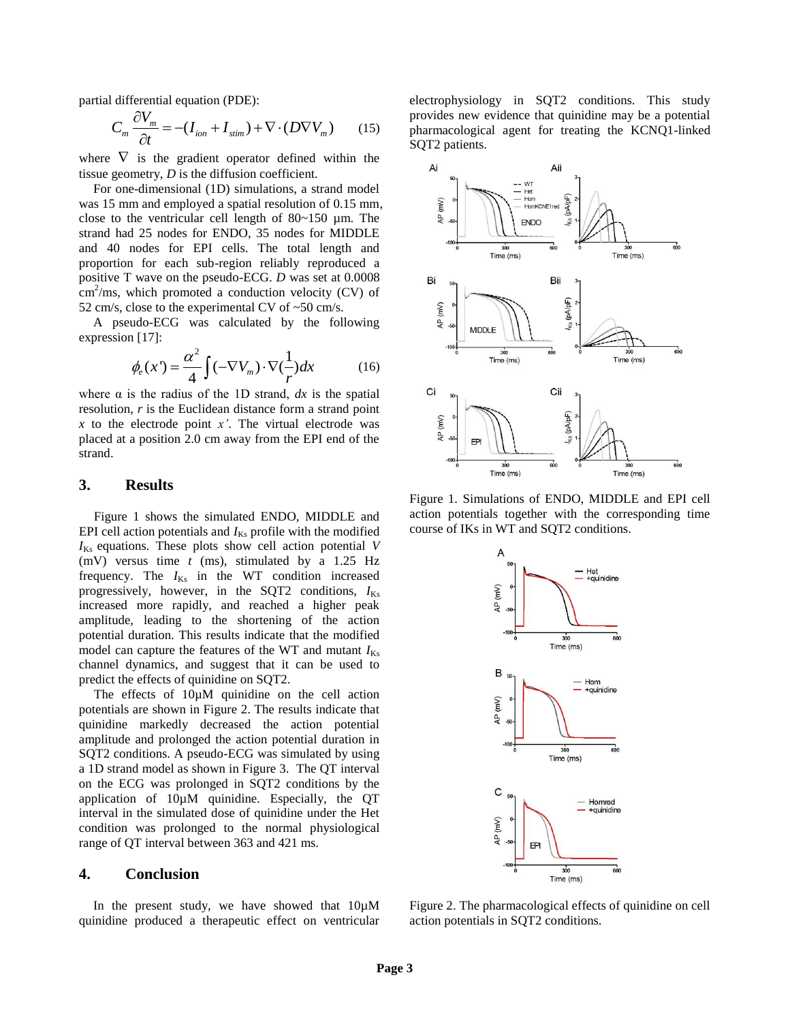partial differential equation (PDE):

$$
C_m \frac{\partial V_m}{\partial t} = -(I_{ion} + I_{stim}) + \nabla \cdot (D \nabla V_m)
$$
 (15)

where  $\nabla$  is the gradient operator defined within the tissue geometry, *D* is the diffusion coefficient.

For one-dimensional (1D) simulations, a strand model was 15 mm and employed a spatial resolution of 0.15 mm, close to the ventricular cell length of  $80~150$  µm. The strand had 25 nodes for ENDO, 35 nodes for MIDDLE and 40 nodes for EPI cells. The total length and proportion for each sub-region reliably reproduced a positive T wave on the pseudo-ECG. *D* was set at 0.0008  $\text{cm}^2/\text{ms}$ , which promoted a conduction velocity (CV) of 52 cm/s, close to the experimental CV of  $\sim$  50 cm/s.

A pseudo-ECG was calculated by the following expression [\[17\]](#page-3-16):

$$
\phi_e(x^{\prime}) = \frac{\alpha^2}{4} \int (-\nabla V_m) \cdot \nabla (\frac{1}{r}) dx \tag{16}
$$

where  $\alpha$  is the radius of the 1D strand,  $dx$  is the spatial resolution, *r* is the Euclidean distance form a strand point *x* to the electrode point *x'*. The virtual electrode was placed at a position 2.0 cm away from the EPI end of the strand.

### **3. Results**

Figure 1 shows the simulated ENDO, MIDDLE and EPI cell action potentials and  $I_{Ks}$  profile with the modified  $I_{Ks}$  equations. These plots show cell action potential *V* (mV) versus time *t* (ms), stimulated by a 1.25 Hz frequency. The  $I_{Ks}$  in the WT condition increased progressively, however, in the SQT2 conditions,  $I_{Ks}$ increased more rapidly, and reached a higher peak amplitude, leading to the shortening of the action potential duration. This results indicate that the modified model can capture the features of the WT and mutant  $I_{Ks}$ channel dynamics, and suggest that it can be used to predict the effects of quinidine on SQT2.

The effects of  $10 \mu M$  quinidine on the cell action potentials are shown in Figure 2. The results indicate that quinidine markedly decreased the action potential amplitude and prolonged the action potential duration in SQT2 conditions. A pseudo-ECG was simulated by using a 1D strand model as shown in Figure 3. The QT interval on the ECG was prolonged in SQT2 conditions by the application of 10µM quinidine. Especially, the QT interval in the simulated dose of quinidine under the Het condition was prolonged to the normal physiological range of QT interval between 363 and 421 ms.

### **4. Conclusion**

In the present study, we have showed that  $10 \mu M$ quinidine produced a therapeutic effect on ventricular

electrophysiology in SQT2 conditions. This study provides new evidence that quinidine may be a potential pharmacological agent for treating the KCNQ1-linked SQT2 patients.



Figure 1. Simulations of ENDO, MIDDLE and EPI cell action potentials together with the corresponding time course of IKs in WT and SQT2 conditions.



Figure 2. The pharmacological effects of quinidine on cell action potentials in SQT2 conditions.